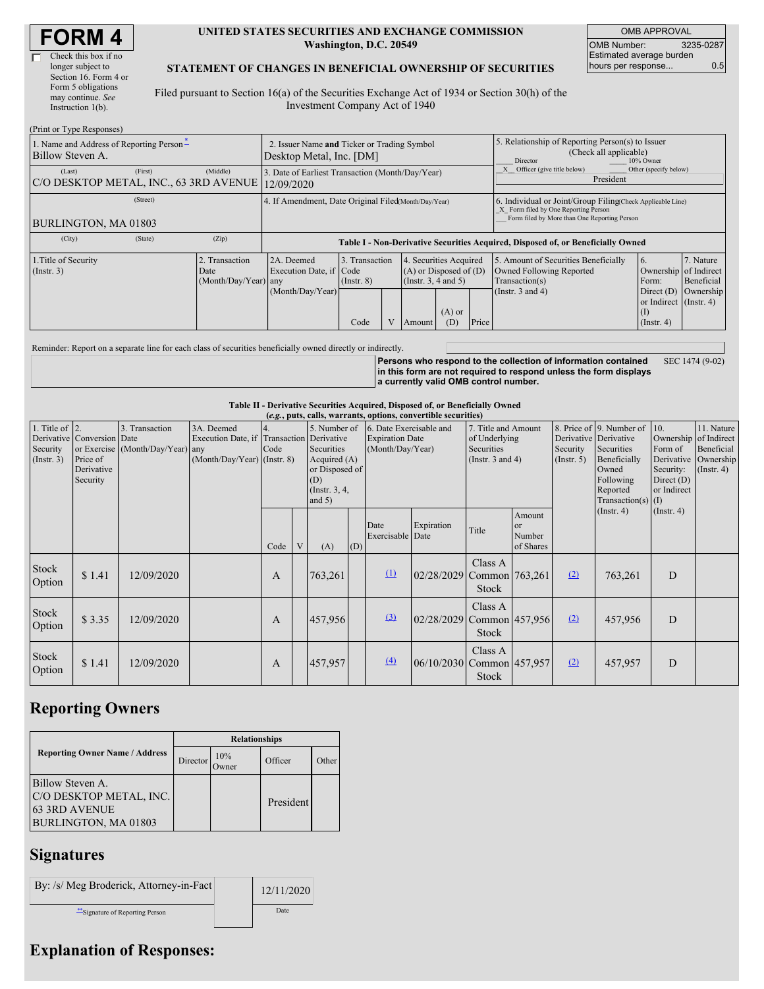#### **UNITED STATES SECURITIES AND EXCHANGE COMMISSION Washington, D.C. 20549**

OMB APPROVAL OMB Number: 3235-0287 Estimated average burden hours per response... 0.5

### **STATEMENT OF CHANGES IN BENEFICIAL OWNERSHIP OF SECURITIES**

Filed pursuant to Section 16(a) of the Securities Exchange Act of 1934 or Section 30(h) of the Investment Company Act of 1940

| (Print or Type Responses)                                    |                                                                         |                                                |                                                                                  |                                           |  |                                                                                                                    |                                                                                                     |                                                                                                                                                    |                                                                                                             |                                                                                                           |                                      |
|--------------------------------------------------------------|-------------------------------------------------------------------------|------------------------------------------------|----------------------------------------------------------------------------------|-------------------------------------------|--|--------------------------------------------------------------------------------------------------------------------|-----------------------------------------------------------------------------------------------------|----------------------------------------------------------------------------------------------------------------------------------------------------|-------------------------------------------------------------------------------------------------------------|-----------------------------------------------------------------------------------------------------------|--------------------------------------|
| 1. Name and Address of Reporting Person-<br>Billow Steven A. | 2. Issuer Name and Ticker or Trading Symbol<br>Desktop Metal, Inc. [DM] |                                                |                                                                                  |                                           |  |                                                                                                                    | 5. Relationship of Reporting Person(s) to Issuer<br>(Check all applicable)<br>Director<br>10% Owner |                                                                                                                                                    |                                                                                                             |                                                                                                           |                                      |
| (Last)<br>C/O DESKTOP METAL, INC., 63 3RD AVENUE             | 3. Date of Earliest Transaction (Month/Day/Year)<br>12/09/2020          |                                                |                                                                                  |                                           |  | Officer (give title below)<br>Other (specify below)<br>President                                                   |                                                                                                     |                                                                                                                                                    |                                                                                                             |                                                                                                           |                                      |
| (Street)<br>BURLINGTON, MA 01803                             |                                                                         |                                                | 4. If Amendment, Date Original Filed Month/Day/Year)                             |                                           |  |                                                                                                                    |                                                                                                     | 6. Individual or Joint/Group Filing Check Applicable Line)<br>X Form filed by One Reporting Person<br>Form filed by More than One Reporting Person |                                                                                                             |                                                                                                           |                                      |
| (City)                                                       | (State)                                                                 | (Zip)                                          | Table I - Non-Derivative Securities Acquired, Disposed of, or Beneficially Owned |                                           |  |                                                                                                                    |                                                                                                     |                                                                                                                                                    |                                                                                                             |                                                                                                           |                                      |
| 1. Title of Security<br>$($ Instr. 3 $)$                     |                                                                         | 2. Transaction<br>Date<br>(Month/Day/Year) any | 2A. Deemed<br>Execution Date, if Code<br>(Month/Day/Year)                        | 3. Transaction<br>$($ Instr. $8)$<br>Code |  | 4. Securities Acquired<br>$(A)$ or Disposed of $(D)$<br>(Insert. 3, 4 and 5)<br>$(A)$ or<br>Price<br>(D)<br>Amount |                                                                                                     |                                                                                                                                                    | 5. Amount of Securities Beneficially<br>Owned Following Reported<br>Transaction(s)<br>(Instr. $3$ and $4$ ) | 6.<br>Ownership of Indirect<br>Form:<br>Direct $(D)$<br>or Indirect (Instr. 4)<br>(1)<br>$($ Instr. 4 $)$ | 7. Nature<br>Beneficial<br>Ownership |

Reminder: Report on a separate line for each class of securities beneficially owned directly or indirectly.

**Persons who respond to the collection of information contained in this form are not required to respond unless the form displays a currently valid OMB control number.** SEC 1474 (9-02)

**Table II - Derivative Securities Acquired, Disposed of, or Beneficially Owned**

| (e.g., puts, calls, warrants, options, convertible securities) |                                                                  |                                                    |                                                                                          |            |   |                                                                                                                                                                               |     |                          |                                                                             |                  |                                                                                                                                                                           |     |                                                                                     |                                                                      |  |
|----------------------------------------------------------------|------------------------------------------------------------------|----------------------------------------------------|------------------------------------------------------------------------------------------|------------|---|-------------------------------------------------------------------------------------------------------------------------------------------------------------------------------|-----|--------------------------|-----------------------------------------------------------------------------|------------------|---------------------------------------------------------------------------------------------------------------------------------------------------------------------------|-----|-------------------------------------------------------------------------------------|----------------------------------------------------------------------|--|
| 1. Title of $\vert$ 2.<br>Security<br>(Insert. 3)              | Derivative Conversion Date<br>Price of<br>Derivative<br>Security | 3. Transaction<br>or Exercise (Month/Day/Year) any | 3A. Deemed<br>Execution Date, if Transaction Derivative<br>$(Month/Day/Year)$ (Instr. 8) | 4.<br>Code |   | 5. Number of<br>6. Date Exercisable and<br><b>Expiration Date</b><br>Securities<br>(Month/Day/Year)<br>Acquired $(A)$<br>or Disposed of<br>(D)<br>(Instr. $3, 4,$<br>and $5)$ |     |                          | 7. Title and Amount<br>of Underlying<br>Securities<br>(Instr. $3$ and $4$ ) |                  | 8. Price of 9. Number of<br>Derivative Derivative<br>Securities<br>Security<br>Beneficially<br>$($ Instr. 5 $)$<br>Owned<br>Following<br>Reported<br>Transaction(s) $(I)$ |     | 10.<br>Ownership of Indirect<br>Form of<br>Security:<br>Direct $(D)$<br>or Indirect | 11. Nature<br>Beneficial<br>Derivative Ownership<br>$($ Instr. 4 $)$ |  |
|                                                                |                                                                  |                                                    |                                                                                          | Code       | V | (A)                                                                                                                                                                           | (D) | Date<br>Exercisable Date | Expiration                                                                  | Title            | Amount<br><b>or</b><br>Number<br>of Shares                                                                                                                                |     | (Insert. 4)                                                                         | $($ Instr. 4 $)$                                                     |  |
| Stock<br>Option                                                | \$1.41                                                           | 12/09/2020                                         |                                                                                          | A          |   | 763,261                                                                                                                                                                       |     | $\Omega$                 | 02/28/2029 Common 763,261                                                   | Class A<br>Stock |                                                                                                                                                                           | (2) | 763,261                                                                             | D                                                                    |  |
| Stock<br>Option                                                | \$3.35                                                           | 12/09/2020                                         |                                                                                          | A          |   | 457,956                                                                                                                                                                       |     | (3)                      | 02/28/2029 Common 457,956                                                   | Class A<br>Stock |                                                                                                                                                                           | (2) | 457,956                                                                             | D                                                                    |  |
| Stock<br>Option                                                | \$1.41                                                           | 12/09/2020                                         |                                                                                          | A          |   | 457,957                                                                                                                                                                       |     | (4)                      | 06/10/2030 Common 457,957                                                   | Class A<br>Stock |                                                                                                                                                                           | (2) | 457,957                                                                             | D                                                                    |  |

## **Reporting Owners**

|                                                                                      | <b>Relationships</b> |              |           |       |  |  |  |  |
|--------------------------------------------------------------------------------------|----------------------|--------------|-----------|-------|--|--|--|--|
| <b>Reporting Owner Name / Address</b>                                                | Director             | 10%<br>)wner | Officer   | Other |  |  |  |  |
| Billow Steven A.<br>C/O DESKTOP METAL, INC.<br>63 3RD AVENUE<br>BURLINGTON, MA 01803 |                      |              | President |       |  |  |  |  |

# **Signatures**

| By: /s/ Meg Broderick, Attorney-in-Fact | 12/11/2020 |
|-----------------------------------------|------------|
| "Signature of Reporting Person          | Date       |

# **Explanation of Responses:**